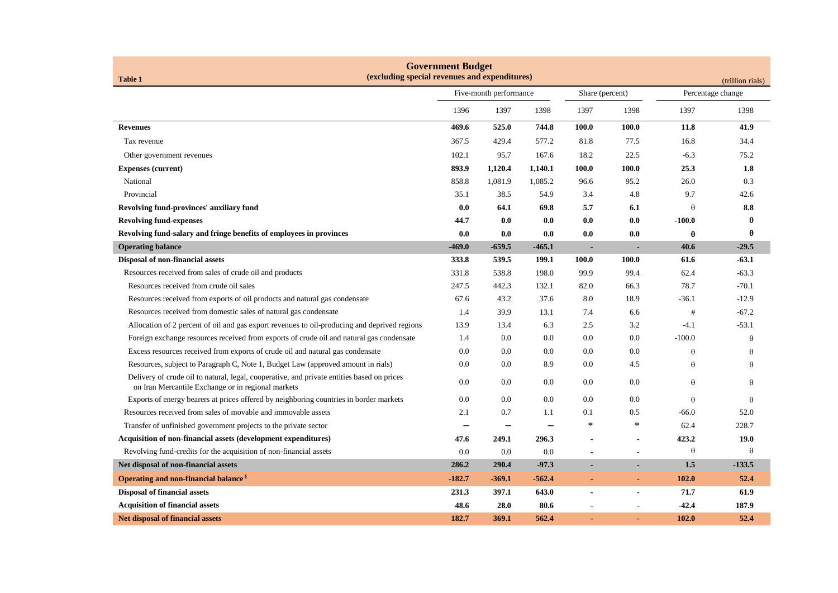| <b>Government Budget</b><br>(excluding special revenues and expenditures)<br><b>Table 1</b><br>(trillion rials)                                  |                        |          |          |                          |                |                   |          |
|--------------------------------------------------------------------------------------------------------------------------------------------------|------------------------|----------|----------|--------------------------|----------------|-------------------|----------|
|                                                                                                                                                  | Five-month performance |          |          | Share (percent)          |                | Percentage change |          |
|                                                                                                                                                  | 1396                   | 1397     | 1398     | 1397                     | 1398           | 1397              | 1398     |
| <b>Revenues</b>                                                                                                                                  | 469.6                  | 525.0    | 744.8    | 100.0                    | 100.0          | 11.8              | 41.9     |
| Tax revenue                                                                                                                                      | 367.5                  | 429.4    | 577.2    | 81.8                     | 77.5           | 16.8              | 34.4     |
| Other government revenues                                                                                                                        | 102.1                  | 95.7     | 167.6    | 18.2                     | 22.5           | $-6.3$            | 75.2     |
| <b>Expenses (current)</b>                                                                                                                        | 893.9                  | 1,120.4  | 1,140.1  | 100.0                    | 100.0          | 25.3              | 1.8      |
| National                                                                                                                                         | 858.8                  | 1,081.9  | 1,085.2  | 96.6                     | 95.2           | 26.0              | 0.3      |
| Provincial                                                                                                                                       | 35.1                   | 38.5     | 54.9     | 3.4                      | 4.8            | 9.7               | 42.6     |
| Revolving fund-provinces' auxiliary fund                                                                                                         | 0.0                    | 64.1     | 69.8     | 5.7                      | 6.1            | $\theta$          | 8.8      |
| <b>Revolving fund-expenses</b>                                                                                                                   | 44.7                   | 0.0      | 0.0      | 0.0                      | 0.0            | $-100.0$          | $\theta$ |
| Revolving fund-salary and fringe benefits of employees in provinces                                                                              | 0.0                    | 0.0      | 0.0      | 0.0                      | 0.0            | $\theta$          | $\theta$ |
| <b>Operating balance</b>                                                                                                                         | $-469.0$               | $-659.5$ | $-465.1$ | $\overline{\phantom{a}}$ |                | 40.6              | $-29.5$  |
| Disposal of non-financial assets                                                                                                                 | 333.8                  | 539.5    | 199.1    | 100.0                    | 100.0          | 61.6              | $-63.1$  |
| Resources received from sales of crude oil and products                                                                                          | 331.8                  | 538.8    | 198.0    | 99.9                     | 99.4           | 62.4              | $-63.3$  |
| Resources received from crude oil sales                                                                                                          | 247.5                  | 442.3    | 132.1    | 82.0                     | 66.3           | 78.7              | $-70.1$  |
| Resources received from exports of oil products and natural gas condensate                                                                       | 67.6                   | 43.2     | 37.6     | 8.0                      | 18.9           | $-36.1$           | $-12.9$  |
| Resources received from domestic sales of natural gas condensate                                                                                 | 1.4                    | 39.9     | 13.1     | 7.4                      | 6.6            | $\#$              | $-67.2$  |
| Allocation of 2 percent of oil and gas export revenues to oil-producing and deprived regions                                                     | 13.9                   | 13.4     | 6.3      | 2.5                      | 3.2            | $-4.1$            | $-53.1$  |
| Foreign exchange resources received from exports of crude oil and natural gas condensate                                                         | 1.4                    | 0.0      | 0.0      | $0.0\,$                  | 0.0            | $-100.0$          | $\theta$ |
| Excess resources received from exports of crude oil and natural gas condensate                                                                   | 0.0                    | 0.0      | 0.0      | 0.0                      | 0.0            | $\theta$          | $\theta$ |
| Resources, subject to Paragraph C, Note 1, Budget Law (approved amount in rials)                                                                 | 0.0                    | 0.0      | 8.9      | 0.0                      | 4.5            | $\theta$          | $\theta$ |
| Delivery of crude oil to natural, legal, cooperative, and private entities based on prices<br>on Iran Mercantile Exchange or in regional markets | 0.0                    | 0.0      | 0.0      | 0.0                      | 0.0            | $\theta$          | $\theta$ |
| Exports of energy bearers at prices offered by neighboring countries in border markets                                                           | 0.0                    | 0.0      | 0.0      | 0.0                      | 0.0            | $\theta$          | $\theta$ |
| Resources received from sales of movable and immovable assets                                                                                    | 2.1                    | 0.7      | 1.1      | 0.1                      | 0.5            | $-66.0$           | 52.0     |
| Transfer of unfinished government projects to the private sector                                                                                 |                        |          |          | $\ast$                   | $\ast$         | 62.4              | 228.7    |
| <b>Acquisition of non-financial assets (development expenditures)</b>                                                                            | 47.6                   | 249.1    | 296.3    |                          |                | 423.2             | 19.0     |
| Revolving fund-credits for the acquisition of non-financial assets                                                                               | 0.0                    | 0.0      | 0.0      |                          |                | $\theta$          | $\theta$ |
| Net disposal of non-financial assets                                                                                                             | 286.2                  | 290.4    | $-97.3$  |                          |                | 1.5               | $-133.5$ |
| Operating and non-financial balance <sup>1</sup>                                                                                                 | $-182.7$               | $-369.1$ | $-562.4$ | ٠                        |                | 102.0             | 52.4     |
| <b>Disposal of financial assets</b>                                                                                                              | 231.3                  | 397.1    | 643.0    | $\overline{a}$           | $\overline{a}$ | 71.7              | 61.9     |
| <b>Acquisition of financial assets</b>                                                                                                           | 48.6                   | 28.0     | 80.6     |                          |                | $-42.4$           | 187.9    |
| <b>Net disposal of financial assets</b>                                                                                                          | 182.7                  | 369.1    | 562.4    |                          |                | 102.0             | 52.4     |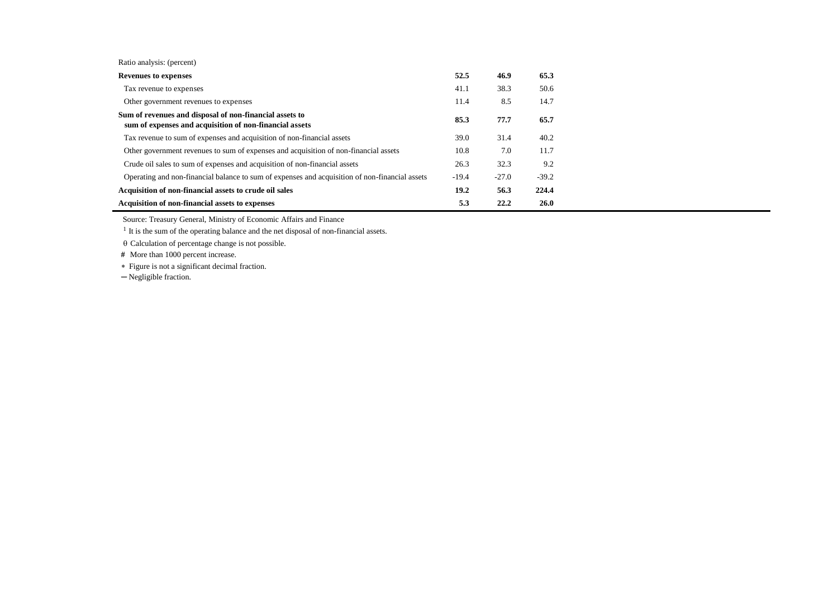| Ratio analysis: (percent) |
|---------------------------|
|                           |

| <b>Revenues to expenses</b>                                                                                        | 52.5    | 46.9    | 65.3        |
|--------------------------------------------------------------------------------------------------------------------|---------|---------|-------------|
| Tax revenue to expenses                                                                                            | 41.1    | 38.3    | 50.6        |
| Other government revenues to expenses                                                                              | 11.4    | 8.5     | 14.7        |
| Sum of revenues and disposal of non-financial assets to<br>sum of expenses and acquisition of non-financial assets | 85.3    | 77.7    | 65.7        |
| Tax revenue to sum of expenses and acquisition of non-financial assets                                             | 39.0    | 31.4    | 40.2        |
| Other government revenues to sum of expenses and acquisition of non-financial assets                               | 10.8    | 7.0     | 11.7        |
| Crude oil sales to sum of expenses and acquisition of non-financial assets                                         | 26.3    | 32.3    | 9.2         |
| Operating and non-financial balance to sum of expenses and acquisition of non-financial assets                     | $-19.4$ | $-27.0$ | $-39.2$     |
| Acquisition of non-financial assets to crude oil sales                                                             | 19.2    | 56.3    | 224.4       |
| Acquisition of non-financial assets to expenses                                                                    | 5.3     | 22.2    | <b>26.0</b> |

Source: Treasury General, Ministry of Economic Affairs and Finance

<sup>1</sup> It is the sum of the operating balance and the net disposal of non-financial assets.

 $\theta$  Calculation of percentage change is not possible.

 **#** More than 1000 percent increase.

Figure is not a significant decimal fraction.

─ Negligible fraction.